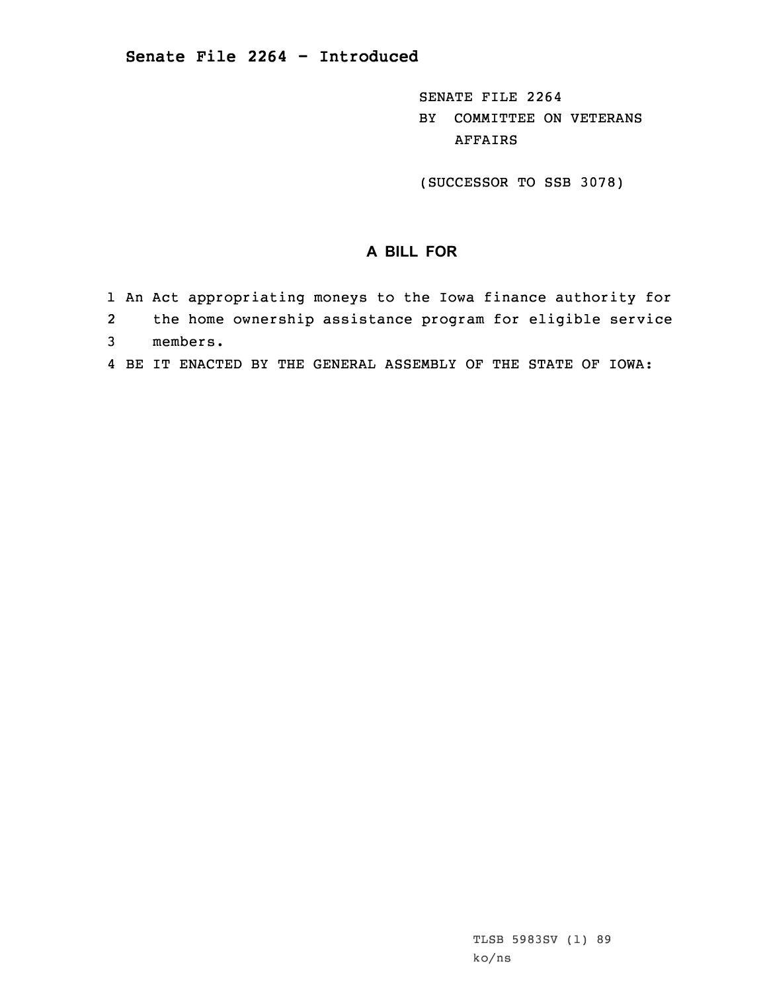SENATE FILE 2264 BY COMMITTEE ON VETERANS AFFAIRS

(SUCCESSOR TO SSB 3078)

## **A BILL FOR**

- 1 An Act appropriating moneys to the Iowa finance authority for
- 2the home ownership assistance program for eligible service
- 3 members.
- 4 BE IT ENACTED BY THE GENERAL ASSEMBLY OF THE STATE OF IOWA: